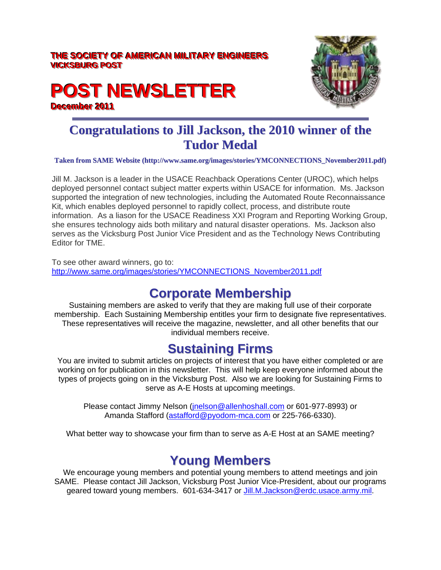#### THE SOCIETY OF AMERICAN MILITARY ENGINEERS **VICKSBURG POST**

# **POST NEWSLETTER December 2011**



## **Congratulations to Jill Jackson, the 2010 winner of the Tudor Medal**

#### **Taken from SAME Website (http://www.same.org/images/stories/YMCONNECTIONS\_November2011.pdf)**

Jill M. Jackson is a leader in the USACE Reachback Operations Center (UROC), which helps deployed personnel contact subject matter experts within USACE for information. Ms. Jackson supported the integration of new technologies, including the Automated Route Reconnaissance Kit, which enables deployed personnel to rapidly collect, process, and distribute route information. As a liason for the USACE Readiness XXI Program and Reporting Working Group, she ensures technology aids both military and natural disaster operations. Ms. Jackson also serves as the Vicksburg Post Junior Vice President and as the Technology News Contributing Editor for TME.

To see other award winners, go to: http://www.same.org/images/stories/YMCONNECTIONS\_November2011.pdf

#### **Corporate Membership**

Sustaining members are asked to verify that they are making full use of their corporate membership. Each Sustaining Membership entitles your firm to designate five representatives. These representatives will receive the magazine, newsletter, and all other benefits that our individual members receive.

#### **Sustaining Firms**

You are invited to submit articles on projects of interest that you have either completed or are working on for publication in this newsletter. This will help keep everyone informed about the types of projects going on in the Vicksburg Post. Also we are looking for Sustaining Firms to serve as A-E Hosts at upcoming meetings.

Please contact Jimmy Nelson (jnelson@allenhoshall.com or 601-977-8993) or Amanda Stafford (astafford@pyodom-mca.com or 225-766-6330).

What better way to showcase your firm than to serve as A-E Host at an SAME meeting?

## **Young Members**

We encourage young members and potential young members to attend meetings and join SAME. Please contact Jill Jackson, Vicksburg Post Junior Vice-President, about our programs geared toward young members. 601-634-3417 or Jill.M.Jackson@erdc.usace.army.mil.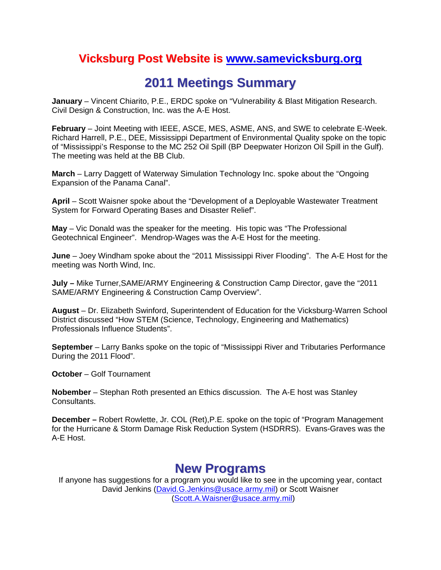#### **Vicksburg Post Website is www.samevicksburg.org**

## **2011 Meetings Summary**

**January** – Vincent Chiarito, P.E., ERDC spoke on "Vulnerability & Blast Mitigation Research. Civil Design & Construction, Inc. was the A-E Host.

**February** – Joint Meeting with IEEE, ASCE, MES, ASME, ANS, and SWE to celebrate E-Week. Richard Harrell, P.E., DEE, Mississippi Department of Environmental Quality spoke on the topic of "Mississippi's Response to the MC 252 Oil Spill (BP Deepwater Horizon Oil Spill in the Gulf). The meeting was held at the BB Club.

**March** – Larry Daggett of Waterway Simulation Technology Inc. spoke about the "Ongoing Expansion of the Panama Canal".

**April** – Scott Waisner spoke about the "Development of a Deployable Wastewater Treatment System for Forward Operating Bases and Disaster Relief".

**May** – Vic Donald was the speaker for the meeting. His topic was "The Professional Geotechnical Engineer". Mendrop-Wages was the A-E Host for the meeting.

**June** – Joey Windham spoke about the "2011 Mississippi River Flooding". The A-E Host for the meeting was North Wind, Inc.

**July –** Mike Turner,SAME/ARMY Engineering & Construction Camp Director, gave the "2011 SAME/ARMY Engineering & Construction Camp Overview".

**August** – Dr. Elizabeth Swinford, Superintendent of Education for the Vicksburg-Warren School District discussed "How STEM (Science, Technology, Engineering and Mathematics) Professionals Influence Students".

**September** – Larry Banks spoke on the topic of "Mississippi River and Tributaries Performance During the 2011 Flood".

**October** – Golf Tournament

**Nobember** – Stephan Roth presented an Ethics discussion. The A-E host was Stanley Consultants.

**December –** Robert Rowlette, Jr. COL (Ret),P.E. spoke on the topic of "Program Management for the Hurricane & Storm Damage Risk Reduction System (HSDRRS). Evans-Graves was the A-E Host.

#### **New Programs**

If anyone has suggestions for a program you would like to see in the upcoming year, contact David Jenkins (David.G.Jenkins@usace.army.mil) or Scott Waisner (Scott.A.Waisner@usace.army.mil)